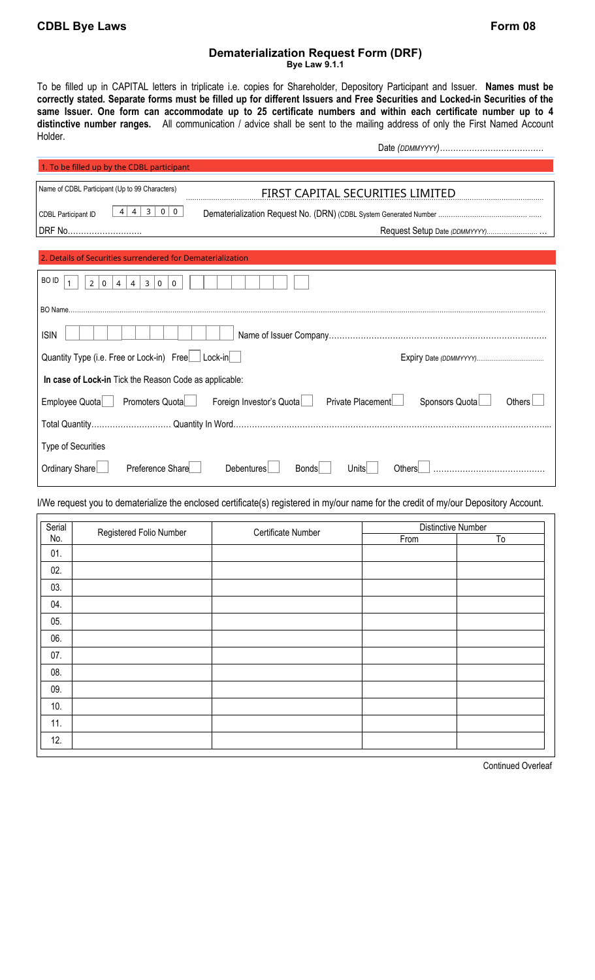## **Dematerialization Request Form (DRF)**

**Bye Law 9.1.1** 

To be filled up in CAPITAL letters in triplicate i.e. copies for Shareholder, Depository Participant and Issuer. **Names must be correctly stated. Separate forms must be filled up for different Issuers and Free Securities and Locked-in Securities of the same Issuer. One form can accommodate up to 25 certificate numbers and within each certificate number up to 4 distinctive number ranges.** All communication / advice shall be sent to the mailing address of only the First Named Account Holder. Date *(DDMMYYYY)…………………………………* 

| 1. To be filled up by the CDBL participant                                                                            |                                                                                                                                      |  |  |  |
|-----------------------------------------------------------------------------------------------------------------------|--------------------------------------------------------------------------------------------------------------------------------------|--|--|--|
| Name of CDBL Participant (Up to 99 Characters)                                                                        | FIRST CAPITAL SECURITIES LIMITED                                                                                                     |  |  |  |
| $\overline{\mathbf{3}}$<br>$4 \mid 4$<br>$0 \mid 0$<br><b>CDBL Participant ID</b>                                     |                                                                                                                                      |  |  |  |
| DRF No                                                                                                                |                                                                                                                                      |  |  |  |
| 2. Details of Securities surrendered for Dematerialization                                                            |                                                                                                                                      |  |  |  |
| BO ID<br>$\overline{4}$<br>4<br>3 0<br>$\mathbf{1}$<br>2 0 <br>$\mathbf 0$                                            |                                                                                                                                      |  |  |  |
|                                                                                                                       |                                                                                                                                      |  |  |  |
| <b>ISIN</b>                                                                                                           |                                                                                                                                      |  |  |  |
| Quantity Type (i.e. Free or Lock-in) Free   Lock-in                                                                   |                                                                                                                                      |  |  |  |
| In case of Lock-in Tick the Reason Code as applicable:                                                                |                                                                                                                                      |  |  |  |
| Private Placement<br>Sponsors Quota<br>Promoters Quota<br>Foreign Investor's Quota<br>Employee Quota<br><b>Others</b> |                                                                                                                                      |  |  |  |
|                                                                                                                       |                                                                                                                                      |  |  |  |
| Type of Securities                                                                                                    |                                                                                                                                      |  |  |  |
| Preference Share<br>Ordinary Share                                                                                    | Debentures<br><b>Bonds</b><br>Others<br>Units                                                                                        |  |  |  |
|                                                                                                                       | I/We request you to dematerialize the enclosed certificate(s) registered in my/our name for the credit of my/our Depository Account. |  |  |  |

| Serial<br>Registered Folio Number<br>No. |  | Certificate Number | Distinctive Number |    |
|------------------------------------------|--|--------------------|--------------------|----|
|                                          |  |                    | From               | To |
| 01.                                      |  |                    |                    |    |
| 02.                                      |  |                    |                    |    |
| 03.                                      |  |                    |                    |    |
| 04.                                      |  |                    |                    |    |
| 05.                                      |  |                    |                    |    |
| 06.                                      |  |                    |                    |    |
| 07.                                      |  |                    |                    |    |
| 08.                                      |  |                    |                    |    |
| 09.                                      |  |                    |                    |    |
| 10.                                      |  |                    |                    |    |
| 11.                                      |  |                    |                    |    |
| 12.                                      |  |                    |                    |    |

Continued Overleaf